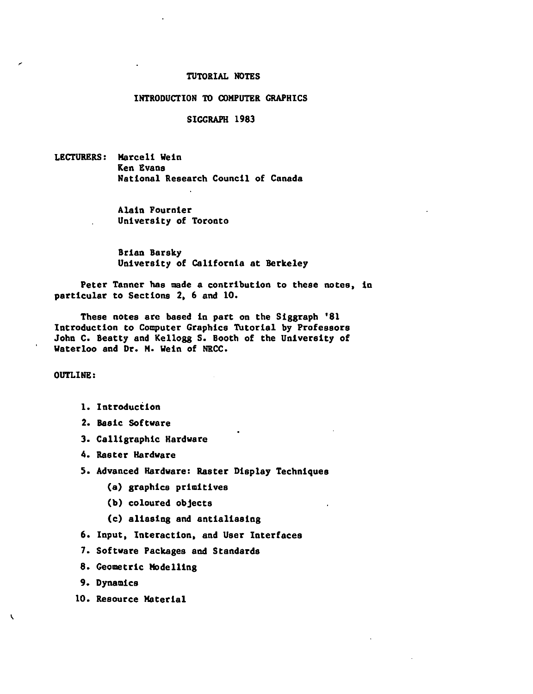### TUTORIAL NOTES

#### INTRODUCTION TO COMPUTER GRAPHICS

### SIGGRAPH 1983

LECTURERS: Marceli Wein Ken Evans National Research Council of Canada

> Alain Fournier University of Toronto

Brian Barsky University of California at Berkeley

Peter Tanner has made a contribution to these notes, in particular to Sections 2, 6 and 10.

These notes are based in part on the Siggraph '81 Introduction to Computer Graphics TUtorial by Professors John c. Beatty and Kellogg S. Booth of the University of Waterloo and Dr. H. Wein of NRCC.

OUTLINE:

- 1. Introduction
- 2. Basic: Software
- 3. Calligraphic: Hardware
- 4. Raster Hardware
- 5. Advanced Hardware: Raster Display Techniques
	- (a) graphics primitives
	- (b) coloured objects
	- (c) aliasing and antialiasing
- 6. Input, Interaction, and User Interfaces
- 7. Software Packages and Standards
- 8. Geometric Modelling
- 9. Dynamics

'

10. Resource Material